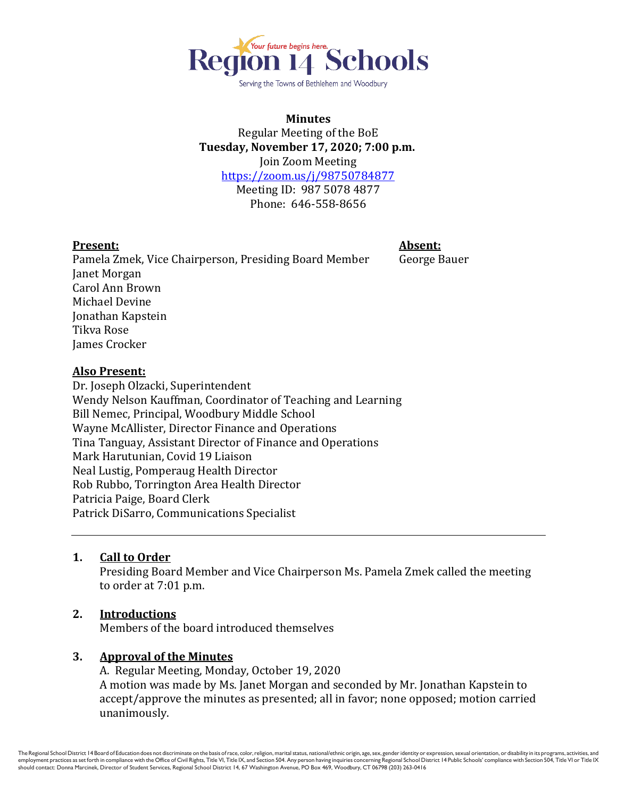

Serving the Towns of Bethlehem and Woodbury

# **Minutes** Regular Meeting of the BoE **Tuesday, November 17, 2020; 7:00 p.m.** Join Zoom Meeting <https://zoom.us/j/98750784877> Meeting ID: 987 5078 4877

Phone: 646-558-8656

# **Present: Absent:**

Pamela Zmek, Vice Chairperson, Presiding Board Member George Bauer Janet Morgan Carol Ann Brown Michael Devine Jonathan Kapstein Tikva Rose James Crocker

#### **Also Present:**

Dr. Joseph Olzacki, Superintendent Wendy Nelson Kauffman, Coordinator of Teaching and Learning Bill Nemec, Principal, Woodbury Middle School Wayne McAllister, Director Finance and Operations Tina Tanguay, Assistant Director of Finance and Operations Mark Harutunian, Covid 19 Liaison Neal Lustig, Pomperaug Health Director Rob Rubbo, Torrington Area Health Director Patricia Paige, Board Clerk Patrick DiSarro, Communications Specialist

# **1. Call to Order**

Presiding Board Member and Vice Chairperson Ms. Pamela Zmek called the meeting to order at 7:01 p.m.

# **2. Introductions**

Members of the board introduced themselves

# **3. Approval of the Minutes**

A. Regular Meeting, Monday, October 19, 2020 A motion was made by Ms. Janet Morgan and seconded by Mr. Jonathan Kapstein to accept/approve the minutes as presented; all in favor; none opposed; motion carried unanimously.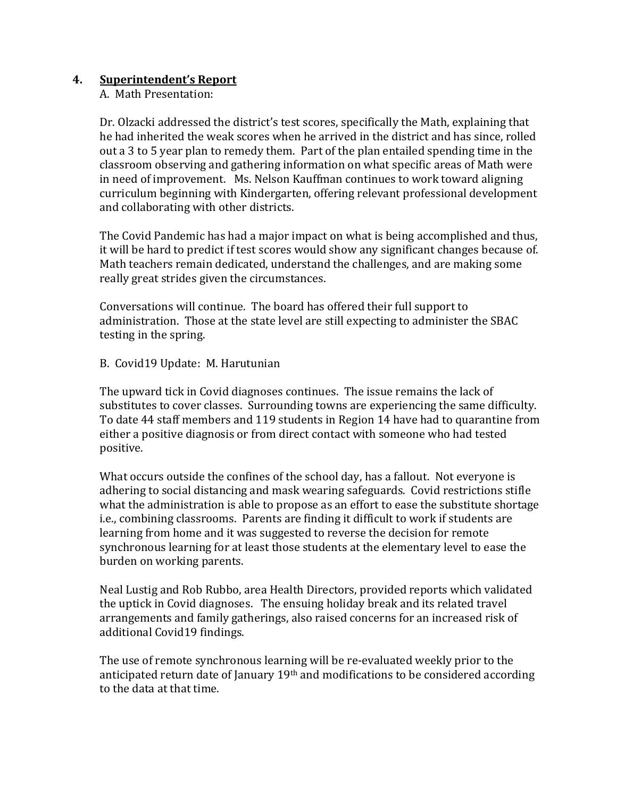# **4. Superintendent's Report**

A. Math Presentation:

Dr. Olzacki addressed the district's test scores, specifically the Math, explaining that he had inherited the weak scores when he arrived in the district and has since, rolled out a 3 to 5 year plan to remedy them. Part of the plan entailed spending time in the classroom observing and gathering information on what specific areas of Math were in need of improvement. Ms. Nelson Kauffman continues to work toward aligning curriculum beginning with Kindergarten, offering relevant professional development and collaborating with other districts.

The Covid Pandemic has had a major impact on what is being accomplished and thus, it will be hard to predict if test scores would show any significant changes because of. Math teachers remain dedicated, understand the challenges, and are making some really great strides given the circumstances.

Conversations will continue. The board has offered their full support to administration. Those at the state level are still expecting to administer the SBAC testing in the spring.

B. Covid19 Update: M. Harutunian

The upward tick in Covid diagnoses continues. The issue remains the lack of substitutes to cover classes. Surrounding towns are experiencing the same difficulty. To date 44 staff members and 119 students in Region 14 have had to quarantine from either a positive diagnosis or from direct contact with someone who had tested positive.

What occurs outside the confines of the school day, has a fallout. Not everyone is adhering to social distancing and mask wearing safeguards. Covid restrictions stifle what the administration is able to propose as an effort to ease the substitute shortage i.e., combining classrooms. Parents are finding it difficult to work if students are learning from home and it was suggested to reverse the decision for remote synchronous learning for at least those students at the elementary level to ease the burden on working parents.

Neal Lustig and Rob Rubbo, area Health Directors, provided reports which validated the uptick in Covid diagnoses. The ensuing holiday break and its related travel arrangements and family gatherings, also raised concerns for an increased risk of additional Covid19 findings.

The use of remote synchronous learning will be re-evaluated weekly prior to the anticipated return date of January 19th and modifications to be considered according to the data at that time.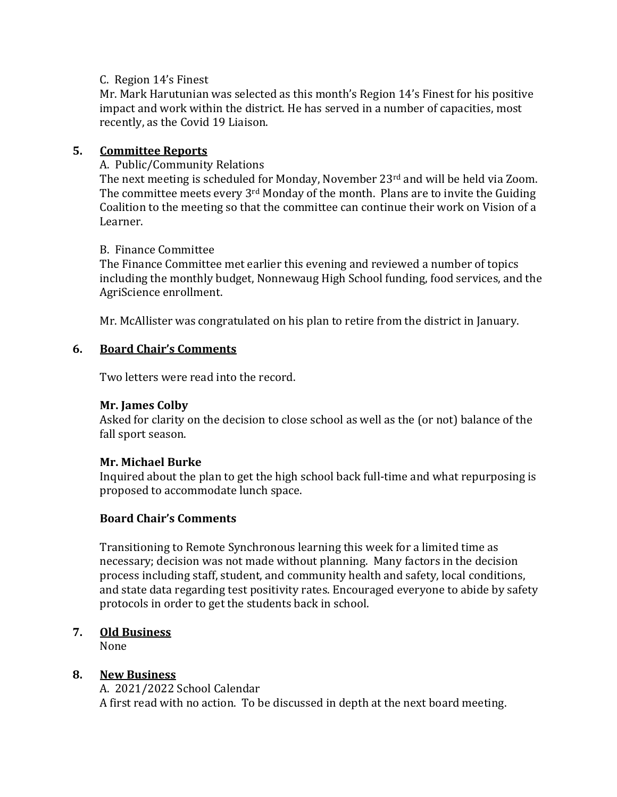## C. Region 14's Finest

Mr. Mark Harutunian was selected as this month's Region 14's Finest for his positive impact and work within the district. He has served in a number of capacities, most recently, as the Covid 19 Liaison.

# **5. Committee Reports**

### A. Public/Community Relations

The next meeting is scheduled for Monday, November 23rd and will be held via Zoom. The committee meets every 3<sup>rd</sup> Monday of the month. Plans are to invite the Guiding Coalition to the meeting so that the committee can continue their work on Vision of a Learner.

### B. Finance Committee

The Finance Committee met earlier this evening and reviewed a number of topics including the monthly budget, Nonnewaug High School funding, food services, and the AgriScience enrollment.

Mr. McAllister was congratulated on his plan to retire from the district in January.

### **6. Board Chair's Comments**

Two letters were read into the record.

#### **Mr. James Colby**

Asked for clarity on the decision to close school as well as the (or not) balance of the fall sport season.

# **Mr. Michael Burke**

Inquired about the plan to get the high school back full-time and what repurposing is proposed to accommodate lunch space.

# **Board Chair's Comments**

Transitioning to Remote Synchronous learning this week for a limited time as necessary; decision was not made without planning. Many factors in the decision process including staff, student, and community health and safety, local conditions, and state data regarding test positivity rates. Encouraged everyone to abide by safety protocols in order to get the students back in school.

# **7. Old Business**

None

#### **8. New Business**

A. 2021/2022 School Calendar A first read with no action. To be discussed in depth at the next board meeting.